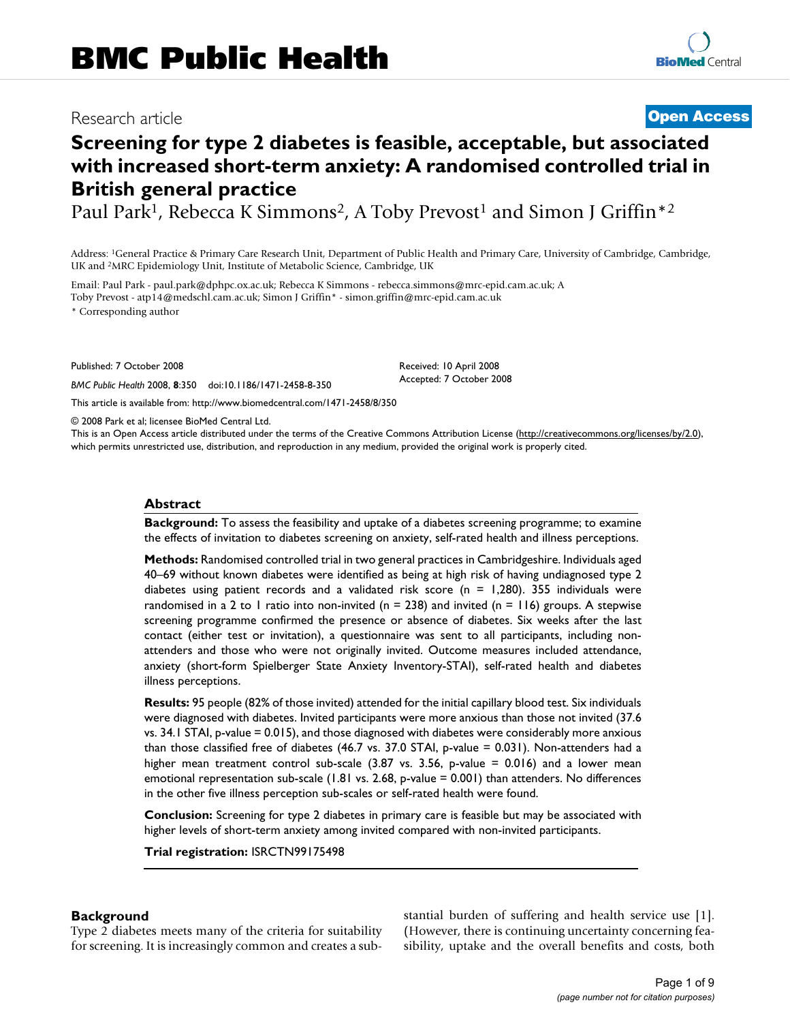# Research article **[Open Access](http://www.biomedcentral.com/info/about/charter/)**

# **Screening for type 2 diabetes is feasible, acceptable, but associated with increased short-term anxiety: A randomised controlled trial in British general practice**

Paul Park<sup>1</sup>, Rebecca K Simmons<sup>2</sup>, A Toby Prevost<sup>1</sup> and Simon J Griffin<sup>\*2</sup>

Address: 1General Practice & Primary Care Research Unit, Department of Public Health and Primary Care, University of Cambridge, Cambridge, UK and 2MRC Epidemiology Unit, Institute of Metabolic Science, Cambridge, UK

Email: Paul Park - paul.park@dphpc.ox.ac.uk; Rebecca K Simmons - rebecca.simmons@mrc-epid.cam.ac.uk; A Toby Prevost - atp14@medschl.cam.ac.uk; Simon J Griffin\* - simon.griffin@mrc-epid.cam.ac.uk

\* Corresponding author

Published: 7 October 2008

*BMC Public Health* 2008, **8**:350 doi:10.1186/1471-2458-8-350

[This article is available from: http://www.biomedcentral.com/1471-2458/8/350](http://www.biomedcentral.com/1471-2458/8/350)

© 2008 Park et al; licensee BioMed Central Ltd.

This is an Open Access article distributed under the terms of the Creative Commons Attribution License [\(http://creativecommons.org/licenses/by/2.0\)](http://creativecommons.org/licenses/by/2.0), which permits unrestricted use, distribution, and reproduction in any medium, provided the original work is properly cited.

Received: 10 April 2008 Accepted: 7 October 2008

#### **Abstract**

**Background:** To assess the feasibility and uptake of a diabetes screening programme; to examine the effects of invitation to diabetes screening on anxiety, self-rated health and illness perceptions.

**Methods:** Randomised controlled trial in two general practices in Cambridgeshire. Individuals aged 40–69 without known diabetes were identified as being at high risk of having undiagnosed type 2 diabetes using patient records and a validated risk score ( $n = 1,280$ ). 355 individuals were randomised in a 2 to 1 ratio into non-invited ( $n = 238$ ) and invited ( $n = 116$ ) groups. A stepwise screening programme confirmed the presence or absence of diabetes. Six weeks after the last contact (either test or invitation), a questionnaire was sent to all participants, including nonattenders and those who were not originally invited. Outcome measures included attendance, anxiety (short-form Spielberger State Anxiety Inventory-STAI), self-rated health and diabetes illness perceptions.

**Results:** 95 people (82% of those invited) attended for the initial capillary blood test. Six individuals were diagnosed with diabetes. Invited participants were more anxious than those not invited (37.6 vs. 34.1 STAI, p-value = 0.015), and those diagnosed with diabetes were considerably more anxious than those classified free of diabetes (46.7 vs. 37.0 STAI, p-value = 0.031). Non-attenders had a higher mean treatment control sub-scale (3.87 vs. 3.56, p-value = 0.016) and a lower mean emotional representation sub-scale (1.81 vs. 2.68, p-value = 0.001) than attenders. No differences in the other five illness perception sub-scales or self-rated health were found.

**Conclusion:** Screening for type 2 diabetes in primary care is feasible but may be associated with higher levels of short-term anxiety among invited compared with non-invited participants.

**Trial registration:** ISRCTN99175498

## **Background**

Type 2 diabetes meets many of the criteria for suitability for screening. It is increasingly common and creates a substantial burden of suffering and health service use [1]. (However, there is continuing uncertainty concerning feasibility, uptake and the overall benefits and costs, both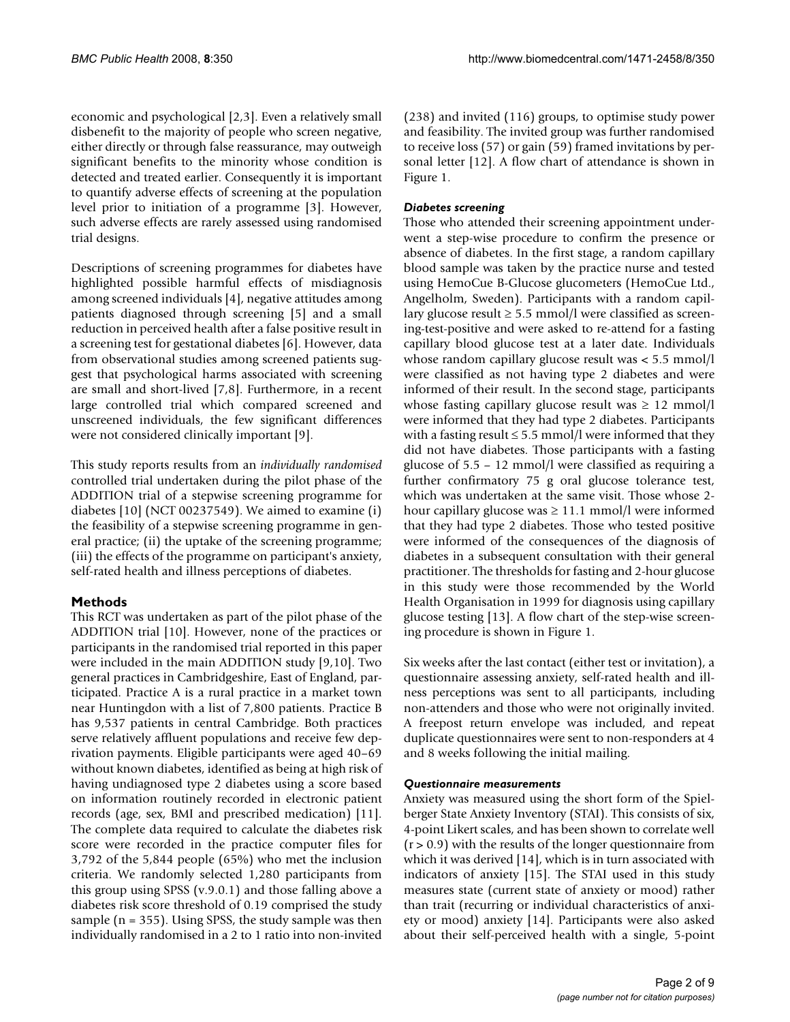economic and psychological [2,3]. Even a relatively small disbenefit to the majority of people who screen negative, either directly or through false reassurance, may outweigh significant benefits to the minority whose condition is detected and treated earlier. Consequently it is important to quantify adverse effects of screening at the population level prior to initiation of a programme [3]. However, such adverse effects are rarely assessed using randomised trial designs.

Descriptions of screening programmes for diabetes have highlighted possible harmful effects of misdiagnosis among screened individuals [4], negative attitudes among patients diagnosed through screening [5] and a small reduction in perceived health after a false positive result in a screening test for gestational diabetes [6]. However, data from observational studies among screened patients suggest that psychological harms associated with screening are small and short-lived [7,8]. Furthermore, in a recent large controlled trial which compared screened and unscreened individuals, the few significant differences were not considered clinically important [9].

This study reports results from an *individually randomised* controlled trial undertaken during the pilot phase of the ADDITION trial of a stepwise screening programme for diabetes [10] (NCT 00237549). We aimed to examine (i) the feasibility of a stepwise screening programme in general practice; (ii) the uptake of the screening programme; (iii) the effects of the programme on participant's anxiety, self-rated health and illness perceptions of diabetes.

### **Methods**

This RCT was undertaken as part of the pilot phase of the ADDITION trial [10]. However, none of the practices or participants in the randomised trial reported in this paper were included in the main ADDITION study [9,10]. Two general practices in Cambridgeshire, East of England, participated. Practice A is a rural practice in a market town near Huntingdon with a list of 7,800 patients. Practice B has 9,537 patients in central Cambridge. Both practices serve relatively affluent populations and receive few deprivation payments. Eligible participants were aged 40–69 without known diabetes, identified as being at high risk of having undiagnosed type 2 diabetes using a score based on information routinely recorded in electronic patient records (age, sex, BMI and prescribed medication) [11]. The complete data required to calculate the diabetes risk score were recorded in the practice computer files for 3,792 of the 5,844 people (65%) who met the inclusion criteria. We randomly selected 1,280 participants from this group using SPSS (v.9.0.1) and those falling above a diabetes risk score threshold of 0.19 comprised the study sample ( $n = 355$ ). Using SPSS, the study sample was then individually randomised in a 2 to 1 ratio into non-invited

(238) and invited (116) groups, to optimise study power and feasibility. The invited group was further randomised to receive loss (57) or gain (59) framed invitations by personal letter [12]. A flow chart of attendance is shown in Figure 1.

#### *Diabetes screening*

Those who attended their screening appointment underwent a step-wise procedure to confirm the presence or absence of diabetes. In the first stage, a random capillary blood sample was taken by the practice nurse and tested using HemoCue B-Glucose glucometers (HemoCue Ltd., Angelholm, Sweden). Participants with a random capillary glucose result  $\geq 5.5$  mmol/l were classified as screening-test-positive and were asked to re-attend for a fasting capillary blood glucose test at a later date. Individuals whose random capillary glucose result was < 5.5 mmol/l were classified as not having type 2 diabetes and were informed of their result. In the second stage, participants whose fasting capillary glucose result was  $\geq 12$  mmol/l were informed that they had type 2 diabetes. Participants with a fasting result  $\leq 5.5$  mmol/l were informed that they did not have diabetes. Those participants with a fasting glucose of 5.5 – 12 mmol/l were classified as requiring a further confirmatory 75 g oral glucose tolerance test, which was undertaken at the same visit. Those whose 2 hour capillary glucose was  $\geq 11.1$  mmol/l were informed that they had type 2 diabetes. Those who tested positive were informed of the consequences of the diagnosis of diabetes in a subsequent consultation with their general practitioner. The thresholds for fasting and 2-hour glucose in this study were those recommended by the World Health Organisation in 1999 for diagnosis using capillary glucose testing [13]. A flow chart of the step-wise screening procedure is shown in Figure 1.

Six weeks after the last contact (either test or invitation), a questionnaire assessing anxiety, self-rated health and illness perceptions was sent to all participants, including non-attenders and those who were not originally invited. A freepost return envelope was included, and repeat duplicate questionnaires were sent to non-responders at 4 and 8 weeks following the initial mailing.

#### *Questionnaire measurements*

Anxiety was measured using the short form of the Spielberger State Anxiety Inventory (STAI). This consists of six, 4-point Likert scales, and has been shown to correlate well  $(r > 0.9)$  with the results of the longer questionnaire from which it was derived [14], which is in turn associated with indicators of anxiety [15]. The STAI used in this study measures state (current state of anxiety or mood) rather than trait (recurring or individual characteristics of anxiety or mood) anxiety [14]. Participants were also asked about their self-perceived health with a single, 5-point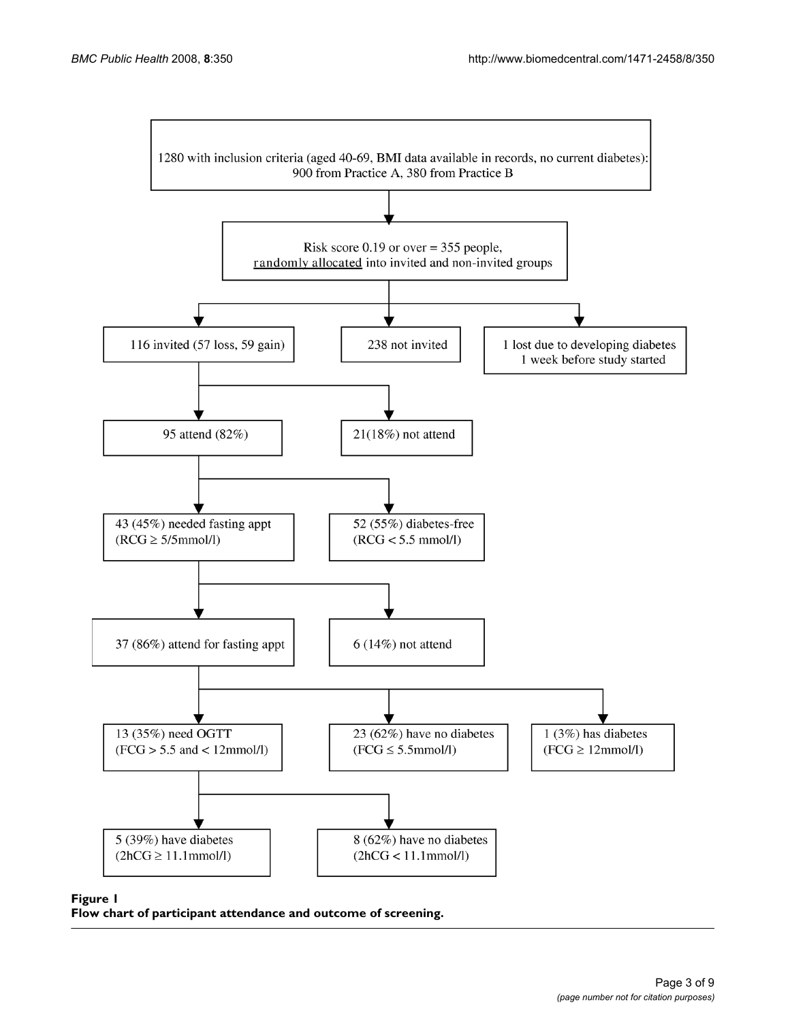

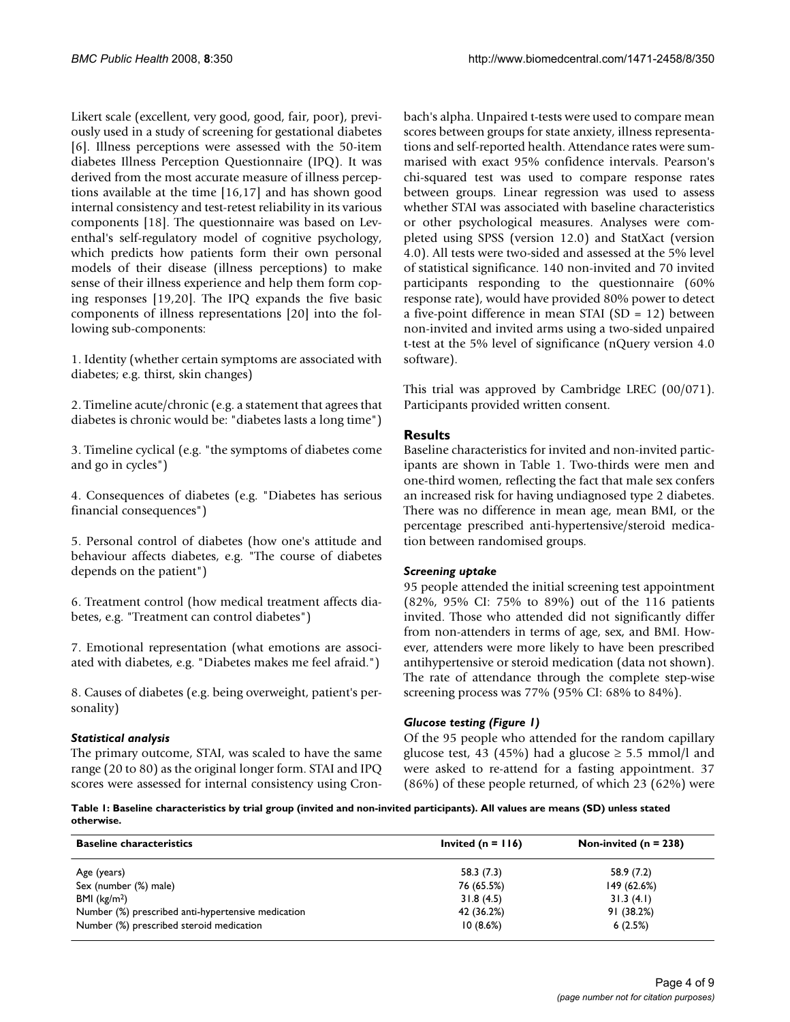Likert scale (excellent, very good, good, fair, poor), previously used in a study of screening for gestational diabetes [6]. Illness perceptions were assessed with the 50-item diabetes Illness Perception Questionnaire (IPQ). It was derived from the most accurate measure of illness perceptions available at the time [16,17] and has shown good internal consistency and test-retest reliability in its various components [18]. The questionnaire was based on Leventhal's self-regulatory model of cognitive psychology, which predicts how patients form their own personal models of their disease (illness perceptions) to make sense of their illness experience and help them form coping responses [19,20]. The IPQ expands the five basic components of illness representations [20] into the following sub-components:

1. Identity (whether certain symptoms are associated with diabetes; e.g. thirst, skin changes)

2. Timeline acute/chronic (e.g. a statement that agrees that diabetes is chronic would be: "diabetes lasts a long time")

3. Timeline cyclical (e.g. "the symptoms of diabetes come and go in cycles")

4. Consequences of diabetes (e.g. "Diabetes has serious financial consequences")

5. Personal control of diabetes (how one's attitude and behaviour affects diabetes, e.g. "The course of diabetes depends on the patient")

6. Treatment control (how medical treatment affects diabetes, e.g. "Treatment can control diabetes")

7. Emotional representation (what emotions are associated with diabetes, e.g. "Diabetes makes me feel afraid.")

8. Causes of diabetes (e.g. being overweight, patient's personality)

#### *Statistical analysis*

The primary outcome, STAI, was scaled to have the same range (20 to 80) as the original longer form. STAI and IPQ scores were assessed for internal consistency using Cronbach's alpha. Unpaired t-tests were used to compare mean scores between groups for state anxiety, illness representations and self-reported health. Attendance rates were summarised with exact 95% confidence intervals. Pearson's chi-squared test was used to compare response rates between groups. Linear regression was used to assess whether STAI was associated with baseline characteristics or other psychological measures. Analyses were completed using SPSS (version 12.0) and StatXact (version 4.0). All tests were two-sided and assessed at the 5% level of statistical significance. 140 non-invited and 70 invited participants responding to the questionnaire (60% response rate), would have provided 80% power to detect a five-point difference in mean STAI (SD = 12) between non-invited and invited arms using a two-sided unpaired t-test at the 5% level of significance (nQuery version 4.0 software).

This trial was approved by Cambridge LREC (00/071). Participants provided written consent.

#### **Results**

Baseline characteristics for invited and non-invited participants are shown in Table 1. Two-thirds were men and one-third women, reflecting the fact that male sex confers an increased risk for having undiagnosed type 2 diabetes. There was no difference in mean age, mean BMI, or the percentage prescribed anti-hypertensive/steroid medication between randomised groups.

#### *Screening uptake*

95 people attended the initial screening test appointment (82%, 95% CI: 75% to 89%) out of the 116 patients invited. Those who attended did not significantly differ from non-attenders in terms of age, sex, and BMI. However, attenders were more likely to have been prescribed antihypertensive or steroid medication (data not shown). The rate of attendance through the complete step-wise screening process was 77% (95% CI: 68% to 84%).

#### *Glucose testing (Figure 1)*

Of the 95 people who attended for the random capillary glucose test, 43 (45%) had a glucose  $\geq$  5.5 mmol/l and were asked to re-attend for a fasting appointment. 37 (86%) of these people returned, of which 23 (62%) were

**Table 1: Baseline characteristics by trial group (invited and non-invited participants). All values are means (SD) unless stated otherwise.**

| <b>Baseline characteristics</b>                    | Invited $(n = 116)$ | Non-invited ( $n = 238$ ) |
|----------------------------------------------------|---------------------|---------------------------|
| Age (years)                                        | 58.3(7.3)           | 58.9(7.2)                 |
| Sex (number (%) male)                              | 76 (65.5%)          | 149 (62.6%)               |
| BMI (kg/m <sup>2</sup> )                           | 31.8(4.5)           | 31.3(4.1)                 |
| Number (%) prescribed anti-hypertensive medication | 42 (36.2%)          | 91 (38.2%)                |
| Number (%) prescribed steroid medication           | 10(8.6%)            | 6(2.5%)                   |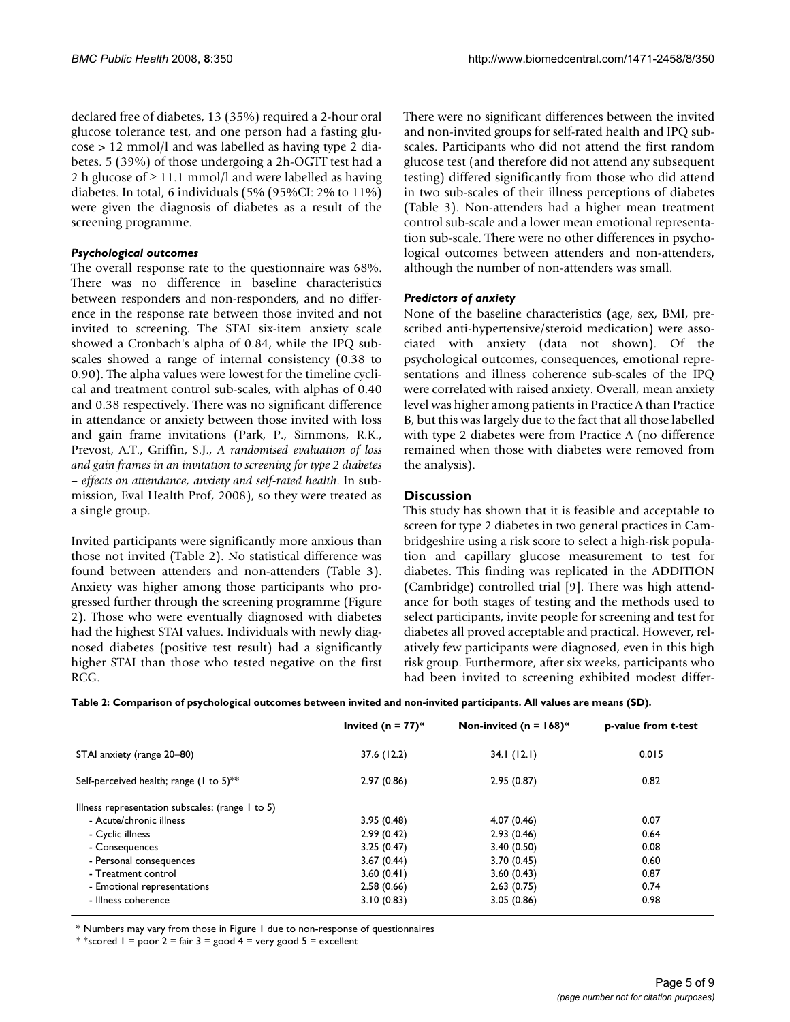declared free of diabetes, 13 (35%) required a 2-hour oral glucose tolerance test, and one person had a fasting glucose > 12 mmol/l and was labelled as having type 2 diabetes. 5 (39%) of those undergoing a 2h-OGTT test had a 2 h glucose of  $\geq 11.1$  mmol/l and were labelled as having diabetes. In total, 6 individuals (5% (95%CI: 2% to 11%) were given the diagnosis of diabetes as a result of the screening programme.

#### *Psychological outcomes*

The overall response rate to the questionnaire was 68%. There was no difference in baseline characteristics between responders and non-responders, and no difference in the response rate between those invited and not invited to screening. The STAI six-item anxiety scale showed a Cronbach's alpha of 0.84, while the IPQ subscales showed a range of internal consistency (0.38 to 0.90). The alpha values were lowest for the timeline cyclical and treatment control sub-scales, with alphas of 0.40 and 0.38 respectively. There was no significant difference in attendance or anxiety between those invited with loss and gain frame invitations (Park, P., Simmons, R.K., Prevost, A.T., Griffin, S.J., *A randomised evaluation of loss and gain frames in an invitation to screening for type 2 diabetes – effects on attendance, anxiety and self-rated health*. In submission, Eval Health Prof, 2008), so they were treated as a single group.

Invited participants were significantly more anxious than those not invited (Table 2). No statistical difference was found between attenders and non-attenders (Table 3). Anxiety was higher among those participants who progressed further through the screening programme (Figure 2). Those who were eventually diagnosed with diabetes had the highest STAI values. Individuals with newly diagnosed diabetes (positive test result) had a significantly higher STAI than those who tested negative on the first RCG.

There were no significant differences between the invited and non-invited groups for self-rated health and IPQ subscales. Participants who did not attend the first random glucose test (and therefore did not attend any subsequent testing) differed significantly from those who did attend in two sub-scales of their illness perceptions of diabetes (Table 3). Non-attenders had a higher mean treatment control sub-scale and a lower mean emotional representation sub-scale. There were no other differences in psychological outcomes between attenders and non-attenders, although the number of non-attenders was small.

#### *Predictors of anxiety*

None of the baseline characteristics (age, sex, BMI, prescribed anti-hypertensive/steroid medication) were associated with anxiety (data not shown). Of the psychological outcomes, consequences, emotional representations and illness coherence sub-scales of the IPQ were correlated with raised anxiety. Overall, mean anxiety level was higher among patients in Practice A than Practice B, but this was largely due to the fact that all those labelled with type 2 diabetes were from Practice A (no difference remained when those with diabetes were removed from the analysis).

#### **Discussion**

This study has shown that it is feasible and acceptable to screen for type 2 diabetes in two general practices in Cambridgeshire using a risk score to select a high-risk population and capillary glucose measurement to test for diabetes. This finding was replicated in the ADDITION (Cambridge) controlled trial [9]. There was high attendance for both stages of testing and the methods used to select participants, invite people for screening and test for diabetes all proved acceptable and practical. However, relatively few participants were diagnosed, even in this high risk group. Furthermore, after six weeks, participants who had been invited to screening exhibited modest differ-

| Table 2: Comparison of psychological outcomes between invited and non-invited participants. All values are means (SD). |  |  |  |  |  |
|------------------------------------------------------------------------------------------------------------------------|--|--|--|--|--|
|                                                                                                                        |  |  |  |  |  |

|                                                     | Invited (n = $77$ )* | Non-invited ( $n = 168$ )* | p-value from t-test |
|-----------------------------------------------------|----------------------|----------------------------|---------------------|
| STAI anxiety (range 20–80)                          | 37.6 (12.2)          | 34.1(12.1)                 | 0.015               |
| Self-perceived health; range (1 to 5) <sup>**</sup> | 2.97(0.86)           | 2.95(0.87)                 | 0.82                |
| Illness representation subscales; (range 1 to 5)    |                      |                            |                     |
| - Acute/chronic illness                             | 3.95(0.48)           | 4.07(0.46)                 | 0.07                |
| - Cyclic illness                                    | 2.99(0.42)           | 2.93(0.46)                 | 0.64                |
| - Consequences                                      | 3.25(0.47)           | 3.40(0.50)                 | 0.08                |
| - Personal consequences                             | 3.67(0.44)           | 3.70(0.45)                 | 0.60                |
| - Treatment control                                 | 3.60(0.41)           | 3.60(0.43)                 | 0.87                |
| - Emotional representations                         | 2.58(0.66)           | 2.63(0.75)                 | 0.74                |
| - Illness coherence                                 | 3.10(0.83)           | 3.05(0.86)                 | 0.98                |

\* Numbers may vary from those in Figure 1 due to non-response of questionnaires

 $**$ cored  $1 =$  poor  $2 =$  fair  $3 =$  good  $4 =$  very good  $5 =$  excellent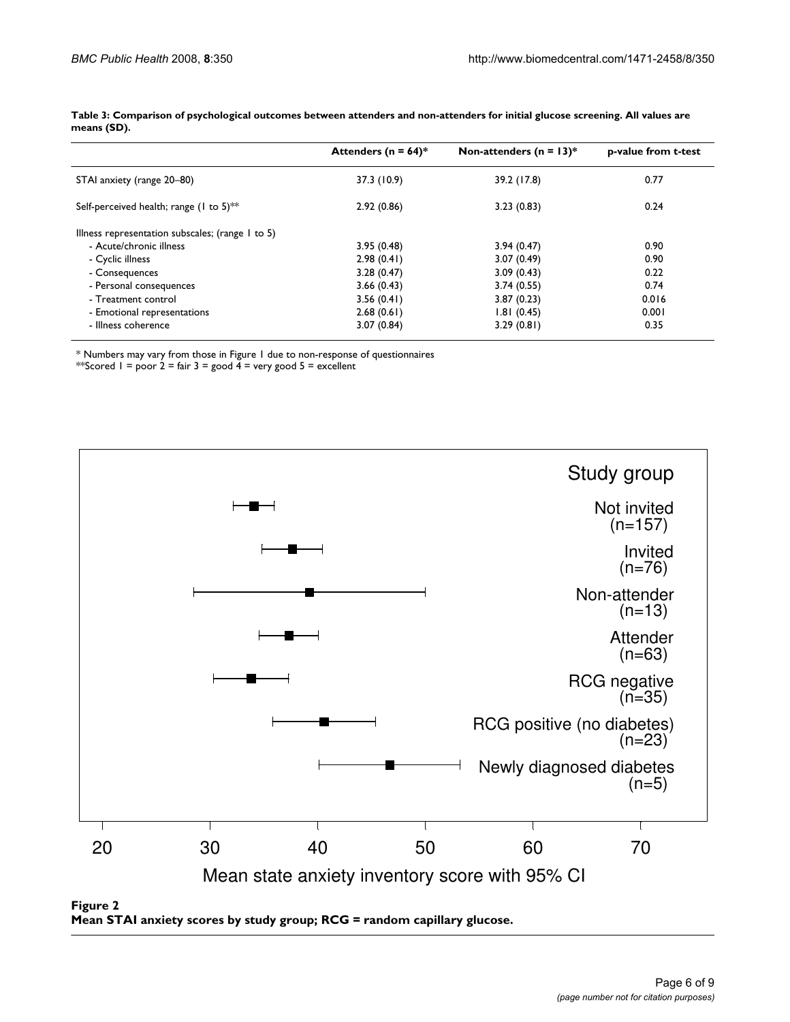|                                                        | Attenders ( $n = 64$ )* | Non-attenders $(n = 13)^*$ | p-value from t-test |
|--------------------------------------------------------|-------------------------|----------------------------|---------------------|
| STAI anxiety (range 20–80)                             | 37.3 (10.9)             | 39.2 (17.8)                | 0.77                |
| Self-perceived health; range (1 to 5)**                | 2.92(0.86)              | 3.23(0.83)                 | 0.24                |
| Illness representation subscales; (range $\vert$ to 5) |                         |                            |                     |
| - Acute/chronic illness                                | 3.95(0.48)              | 3.94(0.47)                 | 0.90                |
| - Cyclic illness                                       | 2.98(0.41)              | 3.07(0.49)                 | 0.90                |
| - Consequences                                         | 3.28(0.47)              | 3.09(0.43)                 | 0.22                |
| - Personal consequences                                | 3.66(0.43)              | 3.74(0.55)                 | 0.74                |
| - Treatment control                                    | 3.56(0.41)              | 3.87(0.23)                 | 0.016               |
| - Emotional representations                            | 2.68(0.61)              | 1.81(0.45)                 | 0.001               |
| - Illness coherence                                    | 3.07(0.84)              | 3.29(0.81)                 | 0.35                |

**Table 3: Comparison of psychological outcomes between attenders and non-attenders for initial glucose screening. All values are means (SD).**

\* Numbers may vary from those in Figure 1 due to non-response of questionnaires

\*\*Scored  $1 =$  poor  $2 =$  fair  $3 =$  good  $4 =$  very good  $5 =$  excellent



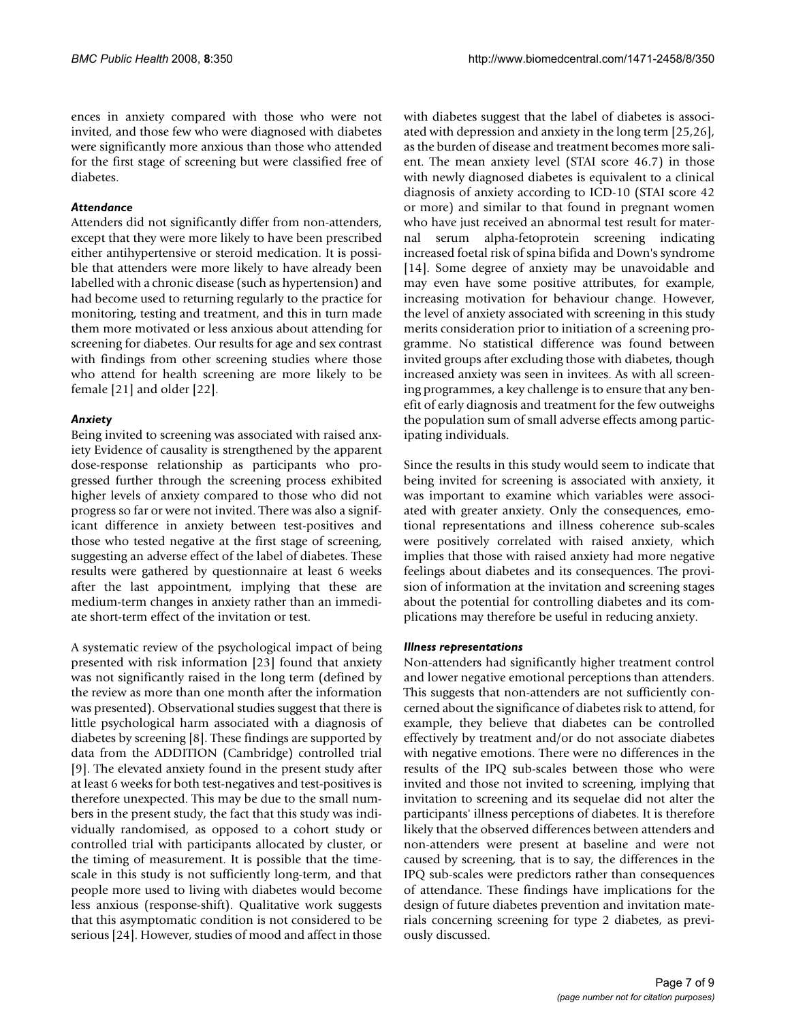ences in anxiety compared with those who were not invited, and those few who were diagnosed with diabetes were significantly more anxious than those who attended for the first stage of screening but were classified free of diabetes.

#### *Attendance*

Attenders did not significantly differ from non-attenders, except that they were more likely to have been prescribed either antihypertensive or steroid medication. It is possible that attenders were more likely to have already been labelled with a chronic disease (such as hypertension) and had become used to returning regularly to the practice for monitoring, testing and treatment, and this in turn made them more motivated or less anxious about attending for screening for diabetes. Our results for age and sex contrast with findings from other screening studies where those who attend for health screening are more likely to be female [21] and older [22].

#### *Anxiety*

Being invited to screening was associated with raised anxiety Evidence of causality is strengthened by the apparent dose-response relationship as participants who progressed further through the screening process exhibited higher levels of anxiety compared to those who did not progress so far or were not invited. There was also a significant difference in anxiety between test-positives and those who tested negative at the first stage of screening, suggesting an adverse effect of the label of diabetes. These results were gathered by questionnaire at least 6 weeks after the last appointment, implying that these are medium-term changes in anxiety rather than an immediate short-term effect of the invitation or test.

A systematic review of the psychological impact of being presented with risk information [23] found that anxiety was not significantly raised in the long term (defined by the review as more than one month after the information was presented). Observational studies suggest that there is little psychological harm associated with a diagnosis of diabetes by screening [8]. These findings are supported by data from the ADDITION (Cambridge) controlled trial [9]. The elevated anxiety found in the present study after at least 6 weeks for both test-negatives and test-positives is therefore unexpected. This may be due to the small numbers in the present study, the fact that this study was individually randomised, as opposed to a cohort study or controlled trial with participants allocated by cluster, or the timing of measurement. It is possible that the timescale in this study is not sufficiently long-term, and that people more used to living with diabetes would become less anxious (response-shift). Qualitative work suggests that this asymptomatic condition is not considered to be serious [24]. However, studies of mood and affect in those with diabetes suggest that the label of diabetes is associated with depression and anxiety in the long term [25,26], as the burden of disease and treatment becomes more salient. The mean anxiety level (STAI score 46.7) in those with newly diagnosed diabetes is equivalent to a clinical diagnosis of anxiety according to ICD-10 (STAI score 42 or more) and similar to that found in pregnant women who have just received an abnormal test result for maternal serum alpha-fetoprotein screening indicating increased foetal risk of spina bifida and Down's syndrome [14]. Some degree of anxiety may be unavoidable and may even have some positive attributes, for example, increasing motivation for behaviour change. However, the level of anxiety associated with screening in this study merits consideration prior to initiation of a screening programme. No statistical difference was found between invited groups after excluding those with diabetes, though increased anxiety was seen in invitees. As with all screening programmes, a key challenge is to ensure that any benefit of early diagnosis and treatment for the few outweighs the population sum of small adverse effects among participating individuals.

Since the results in this study would seem to indicate that being invited for screening is associated with anxiety, it was important to examine which variables were associated with greater anxiety. Only the consequences, emotional representations and illness coherence sub-scales were positively correlated with raised anxiety, which implies that those with raised anxiety had more negative feelings about diabetes and its consequences. The provision of information at the invitation and screening stages about the potential for controlling diabetes and its complications may therefore be useful in reducing anxiety.

#### *Illness representations*

Non-attenders had significantly higher treatment control and lower negative emotional perceptions than attenders. This suggests that non-attenders are not sufficiently concerned about the significance of diabetes risk to attend, for example, they believe that diabetes can be controlled effectively by treatment and/or do not associate diabetes with negative emotions. There were no differences in the results of the IPQ sub-scales between those who were invited and those not invited to screening, implying that invitation to screening and its sequelae did not alter the participants' illness perceptions of diabetes. It is therefore likely that the observed differences between attenders and non-attenders were present at baseline and were not caused by screening, that is to say, the differences in the IPQ sub-scales were predictors rather than consequences of attendance. These findings have implications for the design of future diabetes prevention and invitation materials concerning screening for type 2 diabetes, as previously discussed.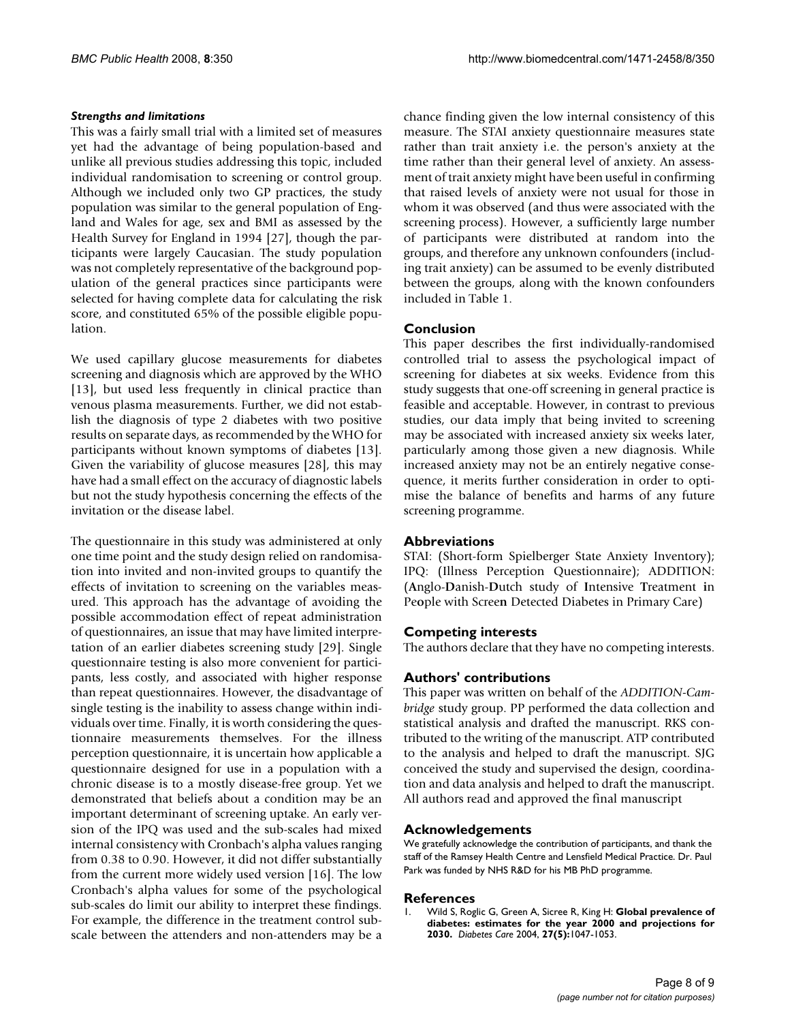#### *Strengths and limitations*

This was a fairly small trial with a limited set of measures yet had the advantage of being population-based and unlike all previous studies addressing this topic, included individual randomisation to screening or control group. Although we included only two GP practices, the study population was similar to the general population of England and Wales for age, sex and BMI as assessed by the Health Survey for England in 1994 [27], though the participants were largely Caucasian. The study population was not completely representative of the background population of the general practices since participants were selected for having complete data for calculating the risk score, and constituted 65% of the possible eligible population.

We used capillary glucose measurements for diabetes screening and diagnosis which are approved by the WHO [13], but used less frequently in clinical practice than venous plasma measurements. Further, we did not establish the diagnosis of type 2 diabetes with two positive results on separate days, as recommended by the WHO for participants without known symptoms of diabetes [13]. Given the variability of glucose measures [28], this may have had a small effect on the accuracy of diagnostic labels but not the study hypothesis concerning the effects of the invitation or the disease label.

The questionnaire in this study was administered at only one time point and the study design relied on randomisation into invited and non-invited groups to quantify the effects of invitation to screening on the variables measured. This approach has the advantage of avoiding the possible accommodation effect of repeat administration of questionnaires, an issue that may have limited interpretation of an earlier diabetes screening study [29]. Single questionnaire testing is also more convenient for participants, less costly, and associated with higher response than repeat questionnaires. However, the disadvantage of single testing is the inability to assess change within individuals over time. Finally, it is worth considering the questionnaire measurements themselves. For the illness perception questionnaire, it is uncertain how applicable a questionnaire designed for use in a population with a chronic disease is to a mostly disease-free group. Yet we demonstrated that beliefs about a condition may be an important determinant of screening uptake. An early version of the IPQ was used and the sub-scales had mixed internal consistency with Cronbach's alpha values ranging from 0.38 to 0.90. However, it did not differ substantially from the current more widely used version [16]. The low Cronbach's alpha values for some of the psychological sub-scales do limit our ability to interpret these findings. For example, the difference in the treatment control subscale between the attenders and non-attenders may be a chance finding given the low internal consistency of this measure. The STAI anxiety questionnaire measures state rather than trait anxiety i.e. the person's anxiety at the time rather than their general level of anxiety. An assessment of trait anxiety might have been useful in confirming that raised levels of anxiety were not usual for those in whom it was observed (and thus were associated with the screening process). However, a sufficiently large number of participants were distributed at random into the groups, and therefore any unknown confounders (including trait anxiety) can be assumed to be evenly distributed between the groups, along with the known confounders included in Table 1.

#### **Conclusion**

This paper describes the first individually-randomised controlled trial to assess the psychological impact of screening for diabetes at six weeks. Evidence from this study suggests that one-off screening in general practice is feasible and acceptable. However, in contrast to previous studies, our data imply that being invited to screening may be associated with increased anxiety six weeks later, particularly among those given a new diagnosis. While increased anxiety may not be an entirely negative consequence, it merits further consideration in order to optimise the balance of benefits and harms of any future screening programme.

#### **Abbreviations**

STAI: (Short-form Spielberger State Anxiety Inventory); IPQ: (Illness Perception Questionnaire); ADDITION: (**A**nglo-**D**anish-**D**utch study of **I**ntensive **T**reatment **i**n Pe**o**ple with Scree**n** Detected Diabetes in Primary Care)

#### **Competing interests**

The authors declare that they have no competing interests.

#### **Authors' contributions**

This paper was written on behalf of the *ADDITION-Cambridge* study group. PP performed the data collection and statistical analysis and drafted the manuscript. RKS contributed to the writing of the manuscript. ATP contributed to the analysis and helped to draft the manuscript. SJG conceived the study and supervised the design, coordination and data analysis and helped to draft the manuscript. All authors read and approved the final manuscript

#### **Acknowledgements**

We gratefully acknowledge the contribution of participants, and thank the staff of the Ramsey Health Centre and Lensfield Medical Practice. Dr. Paul Park was funded by NHS R&D for his MB PhD programme.

#### **References**

1. Wild S, Roglic G, Green A, Sicree R, King H: **[Global prevalence of](http://www.ncbi.nlm.nih.gov/entrez/query.fcgi?cmd=Retrieve&db=PubMed&dopt=Abstract&list_uids=15111519) [diabetes: estimates for the year 2000 and projections for](http://www.ncbi.nlm.nih.gov/entrez/query.fcgi?cmd=Retrieve&db=PubMed&dopt=Abstract&list_uids=15111519) [2030.](http://www.ncbi.nlm.nih.gov/entrez/query.fcgi?cmd=Retrieve&db=PubMed&dopt=Abstract&list_uids=15111519)** *Diabetes Care* 2004, **27(5):**1047-1053.